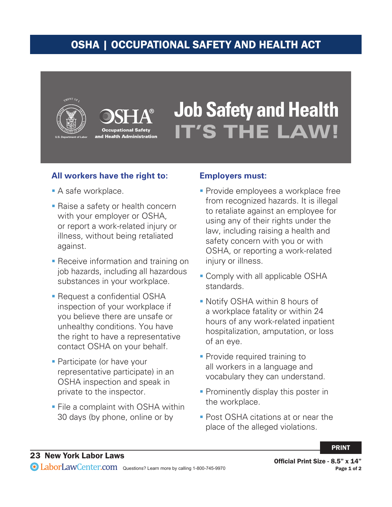## OSHA | OCCUPATIONAL SAFETY AND HEALTH ACT





# **Job Safety and Health IT'S THE LAW!**

#### **All workers have the right to:**

- **A** safe workplace.
- **Raise a safety or health concern** with your employer or OSHA, or report a work-related injury or illness, without being retaliated against.
- **Receive information and training on** job hazards, including all hazardous substances in your workplace.
- **Request a confidential OSHA** inspection of your workplace if you believe there are unsafe or unhealthy conditions. You have the right to have a representative contact OSHA on your behalf.
- **Participate (or have your** representative participate) in an OSHA inspection and speak in private to the inspector.
- **File a complaint with OSHA within** 30 days (by phone, online or by

#### **Employers must:**

- **Provide employees a workplace free** from recognized hazards. It is illegal to retaliate against an employee for using any of their rights under the law, including raising a health and safety concern with you or with OSHA, or reporting a work-related injury or illness.
- **Comply with all applicable OSHA** standards.
- Notify OSHA within 8 hours of a workplace fatality or within 24 hours of any work-related inpatient hospitalization, amputation, or loss of an eye.
- **Provide required training to** all workers in a language and vocabulary they can understand.
- **Prominently display this poster in** the workplace.
- **Post OSHA citations at or near the** place of the alleged violations.